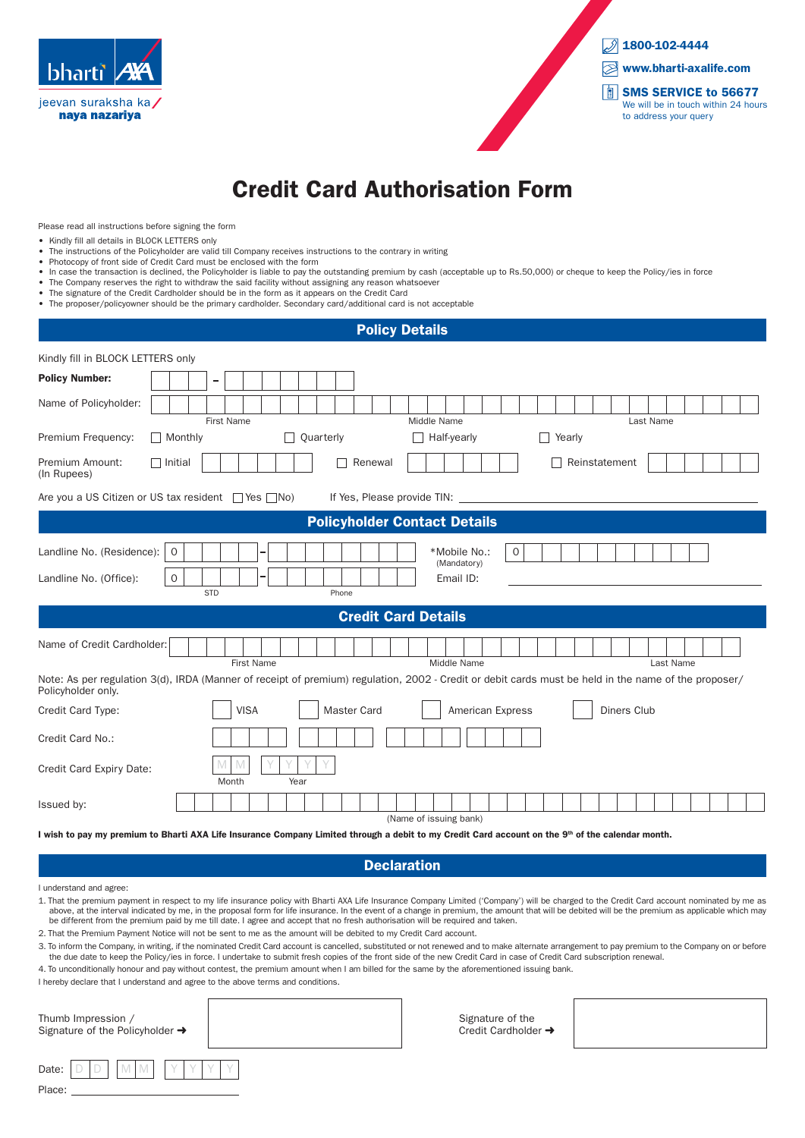



# Credit Card Authorisation Form

Please read all instructions before signing the form

- Kindly fill all details in BLOCK LETTERS only
- The instructions of the Policyholder are valid till Company receives instructions to the contrary in writing
- Photocopy of front side of Credit Card must be enclosed with the form
- In case the transaction is declined, the Policyholder is liable to pay the outstanding premium by cash (acceptable up to Rs.50,000) or cheque to keep the Policy/ies in force
- The Company reserves the right to withdraw the said facility without assigning any reason whatsoever • The signature of the Credit Cardholder should be in the form as it appears on the Credit Card
- The proposer/policyowner should be the primary cardholder. Secondary card/additional card is not acceptable

# Kindly fill in BLOCK LETTERS only Policy Number: Name of Policyholder: First Name **Last Name** Middle Name **Middle Name Last Name** Premium Frequency:  $\Box$  Monthly  $\Box$  Quarterly  $\Box$  Half-yearly  $\Box$  Yearly Premium Amount: **Initial Renewal Renewal Renewal Reinstatement** (In Rupees) Landline No. (Residence): 0 \*Mobile No.: 0 (Mandatory) Landline No. (Office): 0 Email ID: STD Phone Policy Details Policyholder Contact Details Credit Card Details Name of Credit Cardholder: First Name Last Name **Middle Name** Middle Name **Last Name** Note: As per regulation 3(d), IRDA (Manner of receipt of premium) regulation, 2002 - Credit or debit cards must be held in the name of the proposer/ Policyholder only. Credit Card Type: **VISA** Naster Card American Express Nubsets Diners Club Credit Card No.: Credit Card Expiry Date: Month Year Issued by: (Name of issuing bank) M M Y Y Y Y Are you a US Citizen or US tax resident  $\Box$  Yes  $\Box$  No) If Yes, Please provide TIN:

I wish to pay my premium to Bharti AXA Life Insurance Company Limited through a debit to my Credit Card account on the 9<sup>th</sup> of the calendar month.

**Declaration** 

I understand and agree:

- 1. That the premium payment in respect to my life insurance policy with Bharti AXA Life Insurance Company Limited ('Company') will be charged to the Credit Card account nominated by me as above, at the interval indicated by me, in the proposal form for life insurance. In the event of a change in premium, the amount that will be debited will be the premium as applicable which may be different from the premium paid by me till date. I agree and accept that no fresh authorisation will be required and taken.
- 2. That the Premium Payment Notice will not be sent to me as the amount will be debited to my Credit Card account.
- 3. To inform the Company, in writing, if the nominated Credit Card account is cancelled, substituted or not renewed and to make alternate arrangement to pay premium to the Company on or before the due date to keep the Policy/ies in force. I undertake to submit fresh copies of the front side of the new Credit Card in case of Credit Card subscription renewal.

4. To unconditionally honour and pay without contest, the premium amount when I am billed for the same by the aforementioned issuing bank.

I hereby declare that I understand and agree to the above terms and conditions.

| Thumb Impression /<br>Signature of the Policyholder $\rightarrow$ |  |
|-------------------------------------------------------------------|--|
| M M<br>Date:<br>Place:                                            |  |

Signature of the Credit Cardholder →